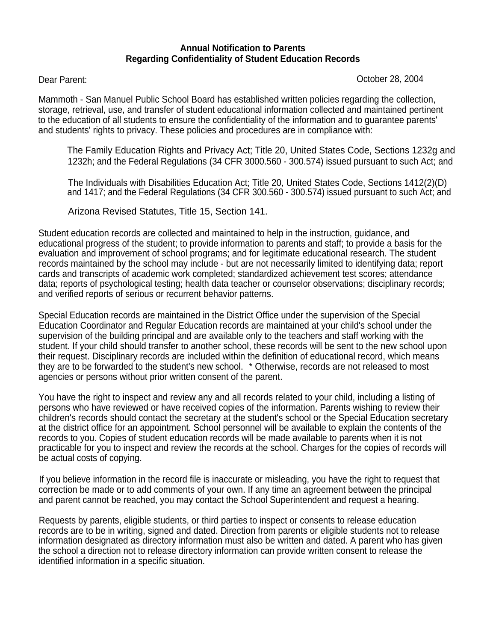## **Annual Notification to Parents Regarding Confidentiality of Student Education Records**

Dear Parent: October 28, 2004

Mammoth - San Manuel Public School Board has established written policies regarding the collection, storage, retrieval, use, and transfer of student educational information collected and maintained pertinent to the education of all students to ensure the confidentiality of the information and to guarantee parents' and students' rights to privacy. These policies and procedures are in compliance with:

The Family Education Rights and Privacy Act; Title 20, United States Code, Sections 1232g and 1232h; and the Federal Regulations (34 CFR 3000.560 - 300.574) issued pursuant to such Act; and

 The Individuals with Disabilities Education Act; Title 20, United States Code, Sections 1412(2)(D) and 1417; and the Federal Regulations (34 CFR 300.560 - 300.574) issued pursuant to such Act; and

Arizona Revised Statutes, Title 15, Section 141.

Student education records are collected and maintained to help in the instruction, guidance, and educational progress of the student; to provide information to parents and staff; to provide a basis for the evaluation and improvement of school programs; and for legitimate educational research. The student records maintained by the school may include - but are not necessarily limited to identifying data; report cards and transcripts of academic work completed; standardized achievement test scores; attendance data; reports of psychological testing; health data teacher or counselor observations; disciplinary records; and verified reports of serious or recurrent behavior patterns.

Special Education records are maintained in the District Office under the supervision of the Special Education Coordinator and Regular Education records are maintained at your child's school under the supervision of the building principal and are available only to the teachers and staff working with the student. If your child should transfer to another school, these records will be sent to the new school upon their request. Disciplinary records are included within the definition of educational record, which means they are to be forwarded to the student's new school. \* Otherwise, records are not released to most agencies or persons without prior written consent of the parent.

You have the right to inspect and review any and all records related to your child, including a listing of persons who have reviewed or have received copies of the information. Parents wishing to review their children's records should contact the secretary at the student's school or the Special Education secretary at the district office for an appointment. School personnel will be available to explain the contents of the records to you. Copies of student education records will be made available to parents when it is not practicable for you to inspect and review the records at the school. Charges for the copies of records will be actual costs of copying.

If you believe information in the record file is inaccurate or misleading, you have the right to request that correction be made or to add comments of your own. If any time an agreement between the principal and parent cannot be reached, you may contact the School Superintendent and request a hearing.

Requests by parents, eligible students, or third parties to inspect or consents to release education records are to be in writing, signed and dated. Direction from parents or eligible students not to release information designated as directory information must also be written and dated. A parent who has given the school a direction not to release directory information can provide written consent to release the identified information in a specific situation.